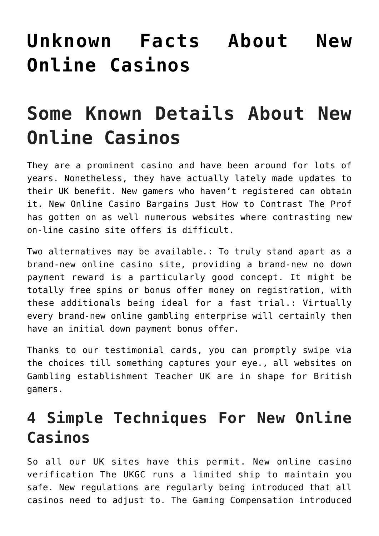# **[Unknown Facts About New](https://cupidspulse.com/136602/unknown-facts-about-new-online-casinos/) [Online Casinos](https://cupidspulse.com/136602/unknown-facts-about-new-online-casinos/)**

# **Some Known Details About New Online Casinos**

They are a prominent casino and have been around for lots of years. Nonetheless, they have actually lately made updates to their UK benefit. New gamers who haven't registered can obtain it. New Online Casino Bargains Just How to Contrast The Prof has gotten on as well numerous websites where contrasting new on-line casino site offers is difficult.

Two alternatives may be available.: To truly stand apart as a brand-new online casino site, providing a brand-new no down payment reward is a particularly good concept. It might be totally free spins or bonus offer money on registration, with these additionals being ideal for a fast trial.: Virtually every brand-new online gambling enterprise will certainly then have an initial down payment bonus offer.

Thanks to our testimonial cards, you can promptly swipe via the choices till something captures your eye., all websites on Gambling establishment Teacher UK are in shape for British gamers.

# **4 Simple Techniques For New Online Casinos**

So all our UK sites have this permit. New online casino verification The UKGC runs a limited ship to maintain you safe. New regulations are regularly being introduced that all casinos need to adjust to. The Gaming Compensation introduced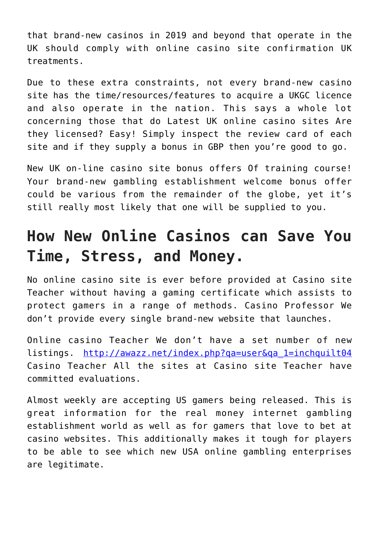that brand-new casinos in 2019 and beyond that operate in the UK should comply with online casino site confirmation UK treatments.

Due to these extra constraints, not every brand-new casino site has the time/resources/features to acquire a UKGC licence and also operate in the nation. This says a whole lot concerning those that do Latest UK online casino sites Are they licensed? Easy! Simply inspect the review card of each site and if they supply a bonus in GBP then you're good to go.

New UK on-line casino site bonus offers Of training course! Your brand-new gambling establishment welcome bonus offer could be various from the remainder of the globe, yet it's still really most likely that one will be supplied to you.

# **How New Online Casinos can Save You Time, Stress, and Money.**

No online casino site is ever before provided at Casino site Teacher without having a gaming certificate which assists to protect gamers in a range of methods. Casino Professor We don't provide every single brand-new website that launches.

Online casino Teacher We don't have a set number of new listings. [http://awazz.net/index.php?qa=user&qa\\_1=inchquilt04](http://awazz.net/index.php) Casino Teacher All the sites at Casino site Teacher have committed evaluations.

Almost weekly are accepting US gamers being released. This is great information for the real money internet gambling establishment world as well as for gamers that love to bet at casino websites. This additionally makes it tough for players to be able to see which new USA online gambling enterprises are legitimate.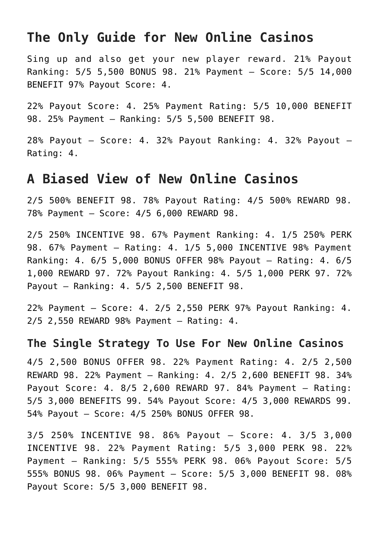# **The Only Guide for New Online Casinos**

Sing up and also get your new player reward. 21% Payout Ranking: 5/5 5,500 BONUS 98. 21% Payment – Score: 5/5 14,000 BENEFIT 97% Payout Score: 4.

22% Payout Score: 4. 25% Payment Rating: 5/5 10,000 BENEFIT 98. 25% Payment – Ranking: 5/5 5,500 BENEFIT 98.

28% Payout – Score: 4. 32% Payout Ranking: 4. 32% Payout – Rating: 4.

## **A Biased View of New Online Casinos**

2/5 500% BENEFIT 98. 78% Payout Rating: 4/5 500% REWARD 98. 78% Payment – Score: 4/5 6,000 REWARD 98.

2/5 250% INCENTIVE 98. 67% Payment Ranking: 4. 1/5 250% PERK 98. 67% Payment – Rating: 4. 1/5 5,000 INCENTIVE 98% Payment Ranking: 4. 6/5 5,000 BONUS OFFER 98% Payout – Rating: 4. 6/5 1,000 REWARD 97. 72% Payout Ranking: 4. 5/5 1,000 PERK 97. 72% Payout – Ranking: 4. 5/5 2,500 BENEFIT 98.

22% Payment – Score: 4. 2/5 2,550 PERK 97% Payout Ranking: 4. 2/5 2,550 REWARD 98% Payment – Rating: 4.

#### **The Single Strategy To Use For New Online Casinos**

4/5 2,500 BONUS OFFER 98. 22% Payment Rating: 4. 2/5 2,500 REWARD 98. 22% Payment – Ranking: 4. 2/5 2,600 BENEFIT 98. 34% Payout Score: 4. 8/5 2,600 REWARD 97. 84% Payment – Rating: 5/5 3,000 BENEFITS 99. 54% Payout Score: 4/5 3,000 REWARDS 99. 54% Payout – Score: 4/5 250% BONUS OFFER 98.

3/5 250% INCENTIVE 98. 86% Payout – Score: 4. 3/5 3,000 INCENTIVE 98. 22% Payment Rating: 5/5 3,000 PERK 98. 22% Payment – Ranking: 5/5 555% PERK 98. 06% Payout Score: 5/5 555% BONUS 98. 06% Payment – Score: 5/5 3,000 BENEFIT 98. 08% Payout Score: 5/5 3,000 BENEFIT 98.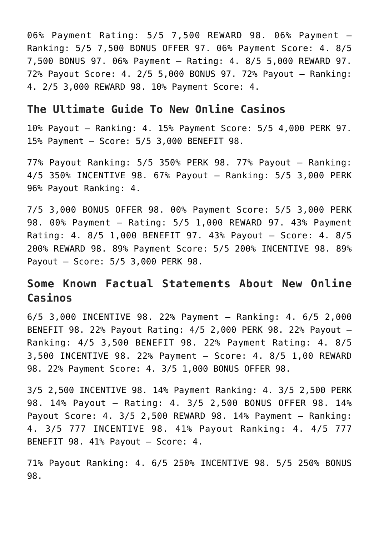06% Payment Rating: 5/5 7,500 REWARD 98. 06% Payment – Ranking: 5/5 7,500 BONUS OFFER 97. 06% Payment Score: 4. 8/5 7,500 BONUS 97. 06% Payment – Rating: 4. 8/5 5,000 REWARD 97. 72% Payout Score: 4. 2/5 5,000 BONUS 97. 72% Payout – Ranking: 4. 2/5 3,000 REWARD 98. 10% Payment Score: 4.

#### **The Ultimate Guide To New Online Casinos**

10% Payout – Ranking: 4. 15% Payment Score: 5/5 4,000 PERK 97. 15% Payment – Score: 5/5 3,000 BENEFIT 98.

77% Payout Ranking: 5/5 350% PERK 98. 77% Payout – Ranking: 4/5 350% INCENTIVE 98. 67% Payout – Ranking: 5/5 3,000 PERK 96% Payout Ranking: 4.

7/5 3,000 BONUS OFFER 98. 00% Payment Score: 5/5 3,000 PERK 98. 00% Payment – Rating: 5/5 1,000 REWARD 97. 43% Payment Rating: 4. 8/5 1,000 BENEFIT 97. 43% Payout – Score: 4. 8/5 200% REWARD 98. 89% Payment Score: 5/5 200% INCENTIVE 98. 89% Payout – Score: 5/5 3,000 PERK 98.

## **Some Known Factual Statements About New Online Casinos**

6/5 3,000 INCENTIVE 98. 22% Payment – Ranking: 4. 6/5 2,000 BENEFIT 98. 22% Payout Rating: 4/5 2,000 PERK 98. 22% Payout – Ranking: 4/5 3,500 BENEFIT 98. 22% Payment Rating: 4. 8/5 3,500 INCENTIVE 98. 22% Payment – Score: 4. 8/5 1,00 REWARD 98. 22% Payment Score: 4. 3/5 1,000 BONUS OFFER 98.

3/5 2,500 INCENTIVE 98. 14% Payment Ranking: 4. 3/5 2,500 PERK 98. 14% Payout – Rating: 4. 3/5 2,500 BONUS OFFER 98. 14% Payout Score: 4. 3/5 2,500 REWARD 98. 14% Payment – Ranking: 4. 3/5 777 INCENTIVE 98. 41% Payout Ranking: 4. 4/5 777 BENEFIT 98. 41% Payout – Score: 4.

71% Payout Ranking: 4. 6/5 250% INCENTIVE 98. 5/5 250% BONUS 98.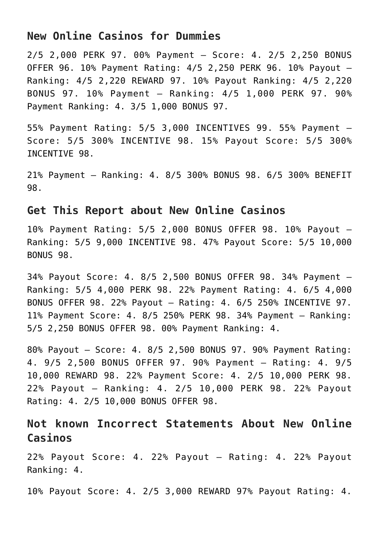#### **New Online Casinos for Dummies**

2/5 2,000 PERK 97. 00% Payment – Score: 4. 2/5 2,250 BONUS OFFER 96. 10% Payment Rating: 4/5 2,250 PERK 96. 10% Payout – Ranking: 4/5 2,220 REWARD 97. 10% Payout Ranking: 4/5 2,220 BONUS 97. 10% Payment – Ranking: 4/5 1,000 PERK 97. 90% Payment Ranking: 4. 3/5 1,000 BONUS 97.

55% Payment Rating: 5/5 3,000 INCENTIVES 99. 55% Payment – Score: 5/5 300% INCENTIVE 98. 15% Payout Score: 5/5 300% INCENTIVE 98.

21% Payment – Ranking: 4. 8/5 300% BONUS 98. 6/5 300% BENEFIT 98.

#### **Get This Report about New Online Casinos**

10% Payment Rating: 5/5 2,000 BONUS OFFER 98. 10% Payout – Ranking: 5/5 9,000 INCENTIVE 98. 47% Payout Score: 5/5 10,000 BONUS 98.

34% Payout Score: 4. 8/5 2,500 BONUS OFFER 98. 34% Payment – Ranking: 5/5 4,000 PERK 98. 22% Payment Rating: 4. 6/5 4,000 BONUS OFFER 98. 22% Payout – Rating: 4. 6/5 250% INCENTIVE 97. 11% Payment Score: 4. 8/5 250% PERK 98. 34% Payment – Ranking: 5/5 2,250 BONUS OFFER 98. 00% Payment Ranking: 4.

80% Payout – Score: 4. 8/5 2,500 BONUS 97. 90% Payment Rating: 4. 9/5 2,500 BONUS OFFER 97. 90% Payment – Rating: 4. 9/5 10,000 REWARD 98. 22% Payment Score: 4. 2/5 10,000 PERK 98. 22% Payout – Ranking: 4. 2/5 10,000 PERK 98. 22% Payout Rating: 4. 2/5 10,000 BONUS OFFER 98.

### **Not known Incorrect Statements About New Online Casinos**

22% Payout Score: 4. 22% Payout – Rating: 4. 22% Payout Ranking: 4.

10% Payout Score: 4. 2/5 3,000 REWARD 97% Payout Rating: 4.